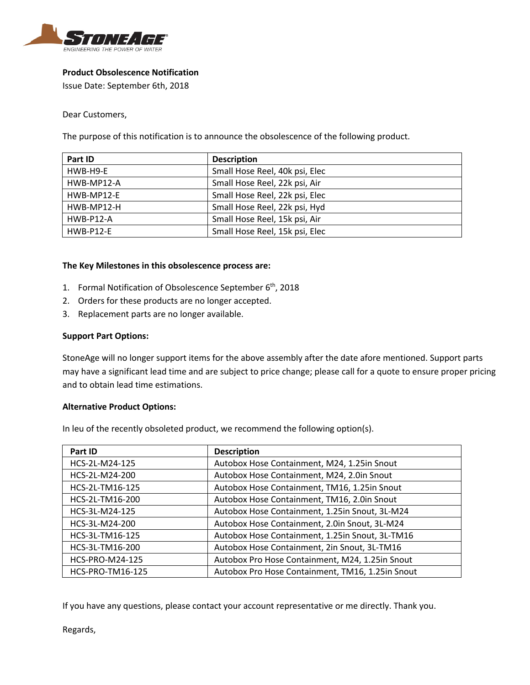

# **Product Obsolescence Notification**

Issue Date: September 6th, 2018

Dear Customers,

The purpose of this notification is to announce the obsolescence of the following product.

| Part ID          | <b>Description</b>             |
|------------------|--------------------------------|
| HWB-H9-E         | Small Hose Reel, 40k psi, Elec |
| HWB-MP12-A       | Small Hose Reel, 22k psi, Air  |
| HWB-MP12-E       | Small Hose Reel, 22k psi, Elec |
| HWB-MP12-H       | Small Hose Reel, 22k psi, Hyd  |
| HWB-P12-A        | Small Hose Reel, 15k psi, Air  |
| <b>HWB-P12-E</b> | Small Hose Reel, 15k psi, Elec |

### **The Key Milestones in this obsolescence process are:**

- 1. Formal Notification of Obsolescence September 6<sup>th</sup>, 2018
- 2. Orders for these products are no longer accepted.
- 3. Replacement parts are no longer available.

### **Support Part Options:**

StoneAge will no longer support items for the above assembly after the date afore mentioned. Support parts may have a significant lead time and are subject to price change; please call for a quote to ensure proper pricing and to obtain lead time estimations.

### **Alternative Product Options:**

In leu of the recently obsoleted product, we recommend the following option(s).

| Part ID                 | <b>Description</b>                               |
|-------------------------|--------------------------------------------------|
| HCS-2L-M24-125          | Autobox Hose Containment, M24, 1.25in Snout      |
| HCS-2L-M24-200          | Autobox Hose Containment, M24, 2.0in Snout       |
| HCS-2L-TM16-125         | Autobox Hose Containment, TM16, 1.25in Snout     |
| HCS-2L-TM16-200         | Autobox Hose Containment, TM16, 2.0in Snout      |
| HCS-3L-M24-125          | Autobox Hose Containment, 1.25in Snout, 3L-M24   |
| HCS-3L-M24-200          | Autobox Hose Containment, 2.0in Snout, 3L-M24    |
| HCS-3L-TM16-125         | Autobox Hose Containment, 1.25in Snout, 3L-TM16  |
| HCS-3L-TM16-200         | Autobox Hose Containment, 2in Snout, 3L-TM16     |
| HCS-PRO-M24-125         | Autobox Pro Hose Containment, M24, 1.25in Snout  |
| <b>HCS-PRO-TM16-125</b> | Autobox Pro Hose Containment, TM16, 1.25in Snout |

If you have any questions, please contact your account representative or me directly. Thank you.

Regards,